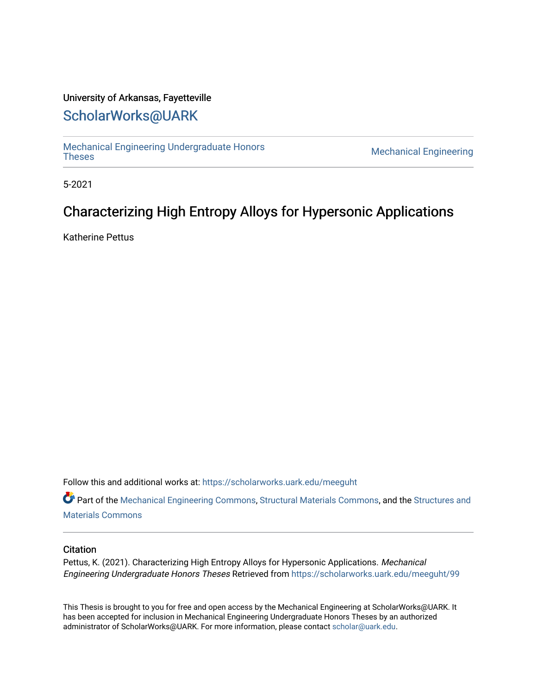# University of Arkansas, Fayetteville

# [ScholarWorks@UARK](https://scholarworks.uark.edu/)

[Mechanical Engineering Undergraduate Honors](https://scholarworks.uark.edu/meeguht)

**Mechanical Engineering** 

5-2021

# Characterizing High Entropy Alloys for Hypersonic Applications

Katherine Pettus

Follow this and additional works at: [https://scholarworks.uark.edu/meeguht](https://scholarworks.uark.edu/meeguht?utm_source=scholarworks.uark.edu%2Fmeeguht%2F99&utm_medium=PDF&utm_campaign=PDFCoverPages) 

Part of the [Mechanical Engineering Commons,](http://network.bepress.com/hgg/discipline/293?utm_source=scholarworks.uark.edu%2Fmeeguht%2F99&utm_medium=PDF&utm_campaign=PDFCoverPages) [Structural Materials Commons](http://network.bepress.com/hgg/discipline/291?utm_source=scholarworks.uark.edu%2Fmeeguht%2F99&utm_medium=PDF&utm_campaign=PDFCoverPages), and the [Structures and](http://network.bepress.com/hgg/discipline/224?utm_source=scholarworks.uark.edu%2Fmeeguht%2F99&utm_medium=PDF&utm_campaign=PDFCoverPages) [Materials Commons](http://network.bepress.com/hgg/discipline/224?utm_source=scholarworks.uark.edu%2Fmeeguht%2F99&utm_medium=PDF&utm_campaign=PDFCoverPages)

## **Citation**

Pettus, K. (2021). Characterizing High Entropy Alloys for Hypersonic Applications. Mechanical Engineering Undergraduate Honors Theses Retrieved from [https://scholarworks.uark.edu/meeguht/99](https://scholarworks.uark.edu/meeguht/99?utm_source=scholarworks.uark.edu%2Fmeeguht%2F99&utm_medium=PDF&utm_campaign=PDFCoverPages)

This Thesis is brought to you for free and open access by the Mechanical Engineering at ScholarWorks@UARK. It has been accepted for inclusion in Mechanical Engineering Undergraduate Honors Theses by an authorized administrator of ScholarWorks@UARK. For more information, please contact [scholar@uark.edu](mailto:scholar@uark.edu).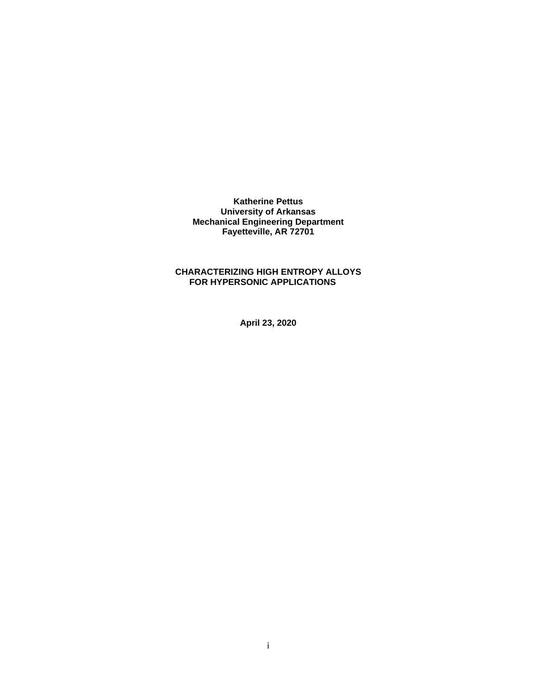**Katherine Pettus University of Arkansas Mechanical Engineering Department Fayetteville, AR 72701**

# **CHARACTERIZING HIGH ENTROPY ALLOYS FOR HYPERSONIC APPLICATIONS**

**April 23, 2020**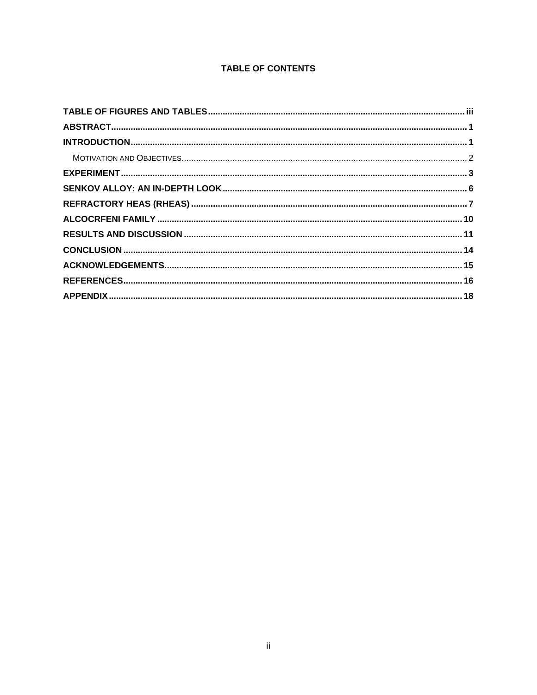# **TABLE OF CONTENTS**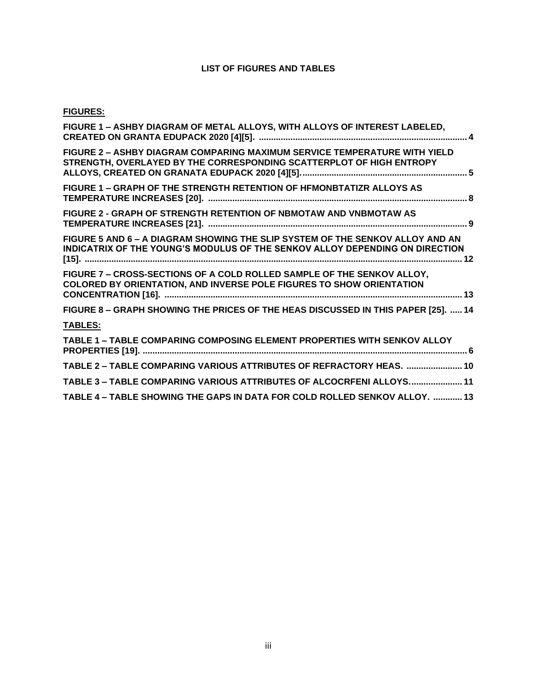# **LIST OF FIGURES AND TABLES**

# **FIGURES:**

| FIGURE 1 - ASHBY DIAGRAM OF METAL ALLOYS, WITH ALLOYS OF INTEREST LABELED,                                                                                    |
|---------------------------------------------------------------------------------------------------------------------------------------------------------------|
| FIGURE 2 - ASHBY DIAGRAM COMPARING MAXIMUM SERVICE TEMPERATURE WITH YIELD<br>STRENGTH, OVERLAYED BY THE CORRESPONDING SCATTERPLOT OF HIGH ENTROPY             |
| FIGURE 1 - GRAPH OF THE STRENGTH RETENTION OF HFMONBTATIZR ALLOYS AS                                                                                          |
| FIGURE 2 - GRAPH OF STRENGTH RETENTION OF NBMOTAW AND VNBMOTAW AS                                                                                             |
| FIGURE 5 AND 6 - A DIAGRAM SHOWING THE SLIP SYSTEM OF THE SENKOV ALLOY AND AN<br>INDICATRIX OF THE YOUNG'S MODULUS OF THE SENKOV ALLOY DEPENDING ON DIRECTION |
| FIGURE 7 - CROSS-SECTIONS OF A COLD ROLLED SAMPLE OF THE SENKOV ALLOY.<br><b>COLORED BY ORIENTATION, AND INVERSE POLE FIGURES TO SHOW ORIENTATION</b>         |
| FIGURE 8 - GRAPH SHOWING THE PRICES OF THE HEAS DISCUSSED IN THIS PAPER [25].  14                                                                             |
| <b>TABLES:</b>                                                                                                                                                |
| TABLE 1 - TABLE COMPARING COMPOSING ELEMENT PROPERTIES WITH SENKOV ALLOY                                                                                      |
| TABLE 2 - TABLE COMPARING VARIOUS ATTRIBUTES OF REFRACTORY HEAS.  10                                                                                          |
| TABLE 3 - TABLE COMPARING VARIOUS ATTRIBUTES OF ALCOCRFENI ALLOYS 11                                                                                          |
| TABLE 4 - TABLE SHOWING THE GAPS IN DATA FOR COLD ROLLED SENKOV ALLOY.  13                                                                                    |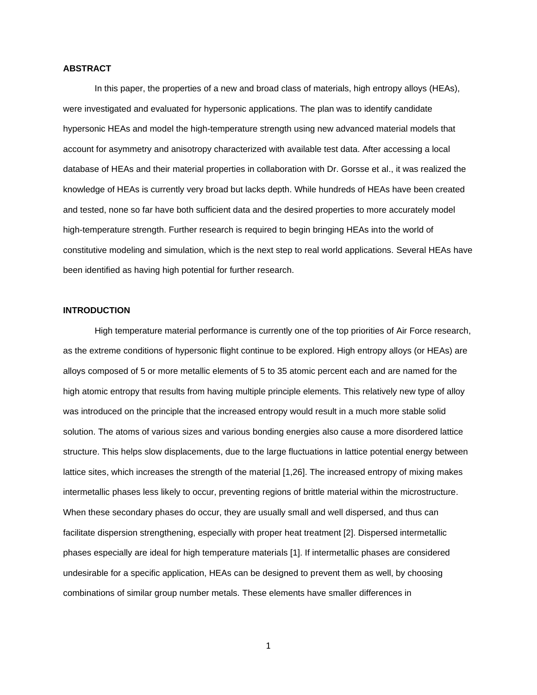#### **ABSTRACT**

In this paper, the properties of a new and broad class of materials, high entropy alloys (HEAs), were investigated and evaluated for hypersonic applications. The plan was to identify candidate hypersonic HEAs and model the high-temperature strength using new advanced material models that account for asymmetry and anisotropy characterized with available test data. After accessing a local database of HEAs and their material properties in collaboration with Dr. Gorsse et al., it was realized the knowledge of HEAs is currently very broad but lacks depth. While hundreds of HEAs have been created and tested, none so far have both sufficient data and the desired properties to more accurately model high-temperature strength. Further research is required to begin bringing HEAs into the world of constitutive modeling and simulation, which is the next step to real world applications. Several HEAs have been identified as having high potential for further research.

#### **INTRODUCTION**

High temperature material performance is currently one of the top priorities of Air Force research, as the extreme conditions of hypersonic flight continue to be explored. High entropy alloys (or HEAs) are alloys composed of 5 or more metallic elements of 5 to 35 atomic percent each and are named for the high atomic entropy that results from having multiple principle elements. This relatively new type of alloy was introduced on the principle that the increased entropy would result in a much more stable solid solution. The atoms of various sizes and various bonding energies also cause a more disordered lattice structure. This helps slow displacements, due to the large fluctuations in lattice potential energy between lattice sites, which increases the strength of the material [1,26]. The increased entropy of mixing makes intermetallic phases less likely to occur, preventing regions of brittle material within the microstructure. When these secondary phases do occur, they are usually small and well dispersed, and thus can facilitate dispersion strengthening, especially with proper heat treatment [2]. Dispersed intermetallic phases especially are ideal for high temperature materials [1]. If intermetallic phases are considered undesirable for a specific application, HEAs can be designed to prevent them as well, by choosing combinations of similar group number metals. These elements have smaller differences in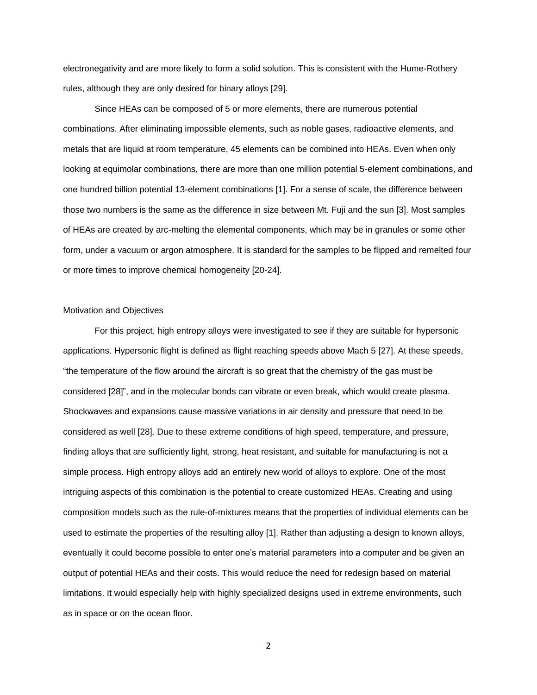electronegativity and are more likely to form a solid solution. This is consistent with the Hume-Rothery rules, although they are only desired for binary alloys [29].

Since HEAs can be composed of 5 or more elements, there are numerous potential combinations. After eliminating impossible elements, such as noble gases, radioactive elements, and metals that are liquid at room temperature, 45 elements can be combined into HEAs. Even when only looking at equimolar combinations, there are more than one million potential 5-element combinations, and one hundred billion potential 13-element combinations [1]. For a sense of scale, the difference between those two numbers is the same as the difference in size between Mt. Fuji and the sun [3]. Most samples of HEAs are created by arc-melting the elemental components, which may be in granules or some other form, under a vacuum or argon atmosphere. It is standard for the samples to be flipped and remelted four or more times to improve chemical homogeneity [20-24].

#### Motivation and Objectives

For this project, high entropy alloys were investigated to see if they are suitable for hypersonic applications. Hypersonic flight is defined as flight reaching speeds above Mach 5 [27]. At these speeds, "the temperature of the flow around the aircraft is so great that the chemistry of the gas must be considered [28]", and in the molecular bonds can vibrate or even break, which would create plasma. Shockwaves and expansions cause massive variations in air density and pressure that need to be considered as well [28]. Due to these extreme conditions of high speed, temperature, and pressure, finding alloys that are sufficiently light, strong, heat resistant, and suitable for manufacturing is not a simple process. High entropy alloys add an entirely new world of alloys to explore. One of the most intriguing aspects of this combination is the potential to create customized HEAs. Creating and using composition models such as the rule-of-mixtures means that the properties of individual elements can be used to estimate the properties of the resulting alloy [1]. Rather than adjusting a design to known alloys, eventually it could become possible to enter one's material parameters into a computer and be given an output of potential HEAs and their costs. This would reduce the need for redesign based on material limitations. It would especially help with highly specialized designs used in extreme environments, such as in space or on the ocean floor.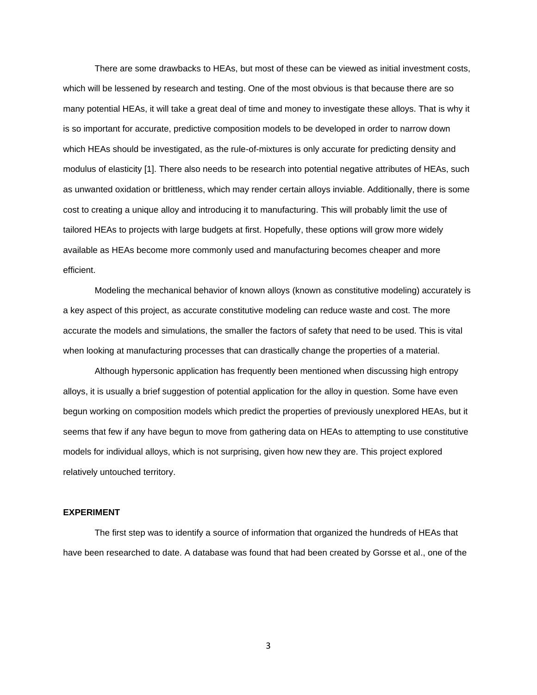There are some drawbacks to HEAs, but most of these can be viewed as initial investment costs, which will be lessened by research and testing. One of the most obvious is that because there are so many potential HEAs, it will take a great deal of time and money to investigate these alloys. That is why it is so important for accurate, predictive composition models to be developed in order to narrow down which HEAs should be investigated, as the rule-of-mixtures is only accurate for predicting density and modulus of elasticity [1]. There also needs to be research into potential negative attributes of HEAs, such as unwanted oxidation or brittleness, which may render certain alloys inviable. Additionally, there is some cost to creating a unique alloy and introducing it to manufacturing. This will probably limit the use of tailored HEAs to projects with large budgets at first. Hopefully, these options will grow more widely available as HEAs become more commonly used and manufacturing becomes cheaper and more efficient.

Modeling the mechanical behavior of known alloys (known as constitutive modeling) accurately is a key aspect of this project, as accurate constitutive modeling can reduce waste and cost. The more accurate the models and simulations, the smaller the factors of safety that need to be used. This is vital when looking at manufacturing processes that can drastically change the properties of a material.

Although hypersonic application has frequently been mentioned when discussing high entropy alloys, it is usually a brief suggestion of potential application for the alloy in question. Some have even begun working on composition models which predict the properties of previously unexplored HEAs, but it seems that few if any have begun to move from gathering data on HEAs to attempting to use constitutive models for individual alloys, which is not surprising, given how new they are. This project explored relatively untouched territory.

#### **EXPERIMENT**

The first step was to identify a source of information that organized the hundreds of HEAs that have been researched to date. A database was found that had been created by Gorsse et al., one of the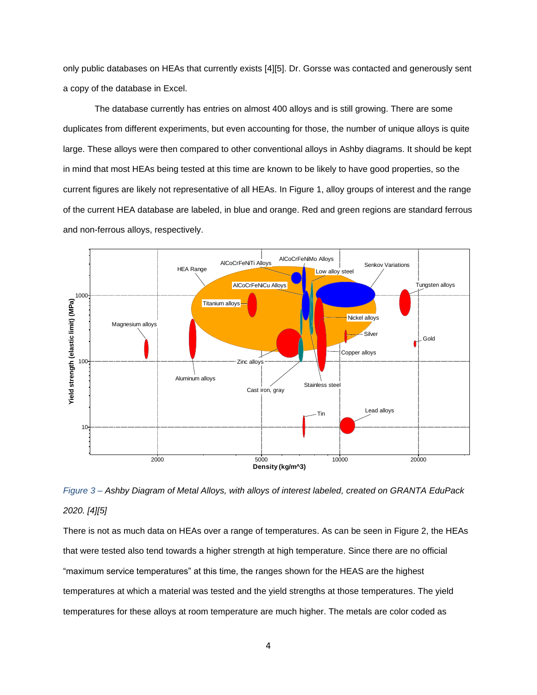only public databases on HEAs that currently exists [4][5]. Dr. Gorsse was contacted and generously sent a copy of the database in Excel.

The database currently has entries on almost 400 alloys and is still growing. There are some duplicates from different experiments, but even accounting for those, the number of unique alloys is quite large. These alloys were then compared to other conventional alloys in Ashby diagrams. It should be kept in mind that most HEAs being tested at this time are known to be likely to have good properties, so the current figures are likely not representative of all HEAs. In Figure 1, alloy groups of interest and the range of the current HEA database are labeled, in blue and orange. Red and green regions are standard ferrous and non-ferrous alloys, respectively.



*Figure 3 – Ashby Diagram of Metal Alloys, with alloys of interest labeled, created on GRANTA EduPack 2020. [4][5]*

There is not as much data on HEAs over a range of temperatures. As can be seen in Figure 2, the HEAs that were tested also tend towards a higher strength at high temperature. Since there are no official "maximum service temperatures" at this time, the ranges shown for the HEAS are the highest temperatures at which a material was tested and the yield strengths at those temperatures. The yield temperatures for these alloys at room temperature are much higher. The metals are color coded as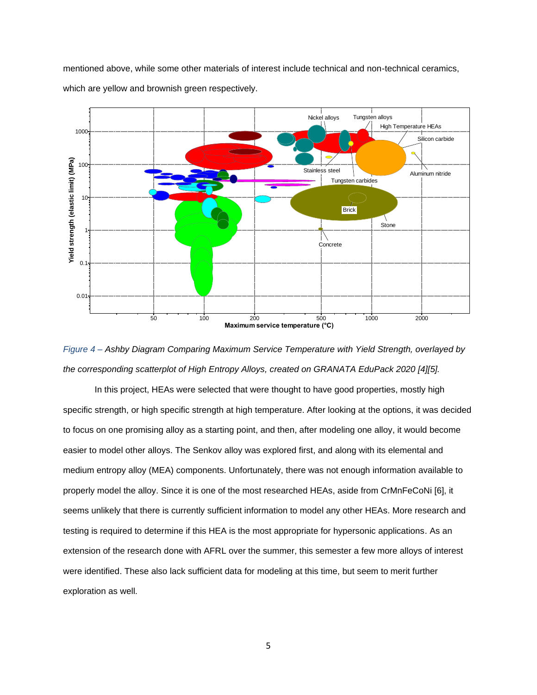mentioned above, while some other materials of interest include technical and non-technical ceramics, which are yellow and brownish green respectively.



*Figure 4 – Ashby Diagram Comparing Maximum Service Temperature with Yield Strength, overlayed by the corresponding scatterplot of High Entropy Alloys, created on GRANATA EduPack 2020 [4][5].*

In this project, HEAs were selected that were thought to have good properties, mostly high specific strength, or high specific strength at high temperature. After looking at the options, it was decided to focus on one promising alloy as a starting point, and then, after modeling one alloy, it would become easier to model other alloys. The Senkov alloy was explored first, and along with its elemental and medium entropy alloy (MEA) components. Unfortunately, there was not enough information available to properly model the alloy. Since it is one of the most researched HEAs, aside from CrMnFeCoNi [6], it seems unlikely that there is currently sufficient information to model any other HEAs. More research and testing is required to determine if this HEA is the most appropriate for hypersonic applications. As an extension of the research done with AFRL over the summer, this semester a few more alloys of interest were identified. These also lack sufficient data for modeling at this time, but seem to merit further exploration as well.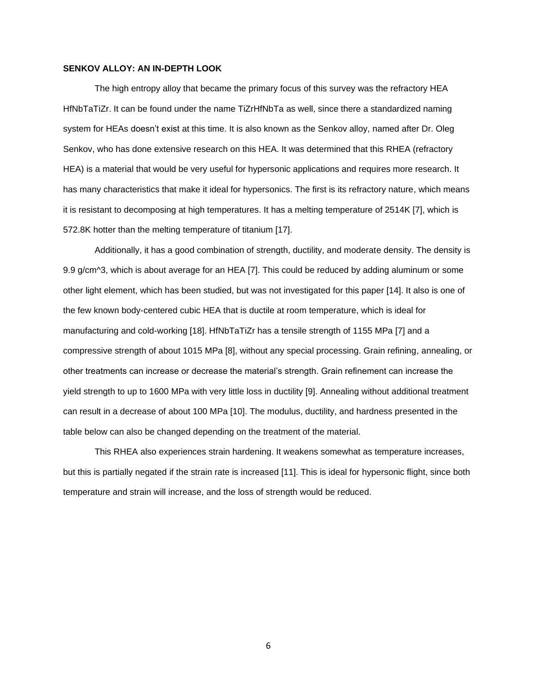#### **SENKOV ALLOY: AN IN-DEPTH LOOK**

The high entropy alloy that became the primary focus of this survey was the refractory HEA HfNbTaTiZr. It can be found under the name TiZrHfNbTa as well, since there a standardized naming system for HEAs doesn't exist at this time. It is also known as the Senkov alloy, named after Dr. Oleg Senkov, who has done extensive research on this HEA. It was determined that this RHEA (refractory HEA) is a material that would be very useful for hypersonic applications and requires more research. It has many characteristics that make it ideal for hypersonics. The first is its refractory nature, which means it is resistant to decomposing at high temperatures. It has a melting temperature of 2514K [7], which is 572.8K hotter than the melting temperature of titanium [17].

Additionally, it has a good combination of strength, ductility, and moderate density. The density is 9.9 g/cm^3, which is about average for an HEA [7]. This could be reduced by adding aluminum or some other light element, which has been studied, but was not investigated for this paper [14]. It also is one of the few known body-centered cubic HEA that is ductile at room temperature, which is ideal for manufacturing and cold-working [18]. HfNbTaTiZr has a tensile strength of 1155 MPa [7] and a compressive strength of about 1015 MPa [8], without any special processing. Grain refining, annealing, or other treatments can increase or decrease the material's strength. Grain refinement can increase the yield strength to up to 1600 MPa with very little loss in ductility [9]. Annealing without additional treatment can result in a decrease of about 100 MPa [10]. The modulus, ductility, and hardness presented in the table below can also be changed depending on the treatment of the material.

This RHEA also experiences strain hardening. It weakens somewhat as temperature increases, but this is partially negated if the strain rate is increased [11]. This is ideal for hypersonic flight, since both temperature and strain will increase, and the loss of strength would be reduced.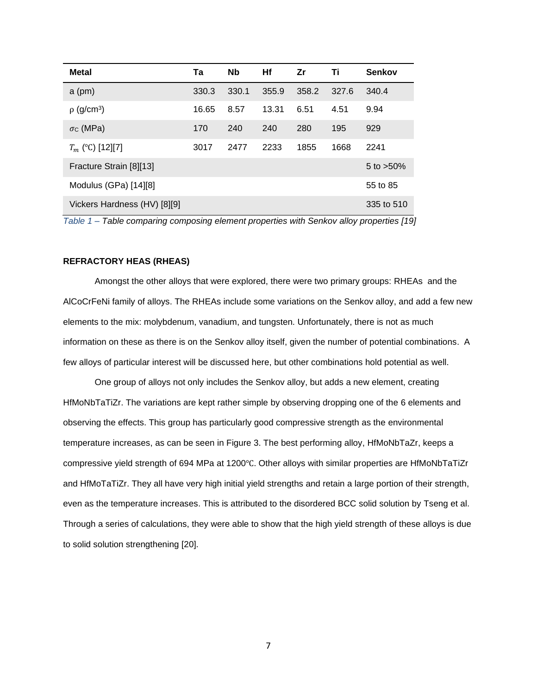| <b>Metal</b>                 | Та    | <b>Nb</b> | Hf    | Zr    | Τi    | <b>Senkov</b> |
|------------------------------|-------|-----------|-------|-------|-------|---------------|
| $a$ (pm)                     | 330.3 | 330.1     | 355.9 | 358.2 | 327.6 | 340.4         |
| $\rho$ (g/cm <sup>3</sup> )  | 16.65 | 8.57      | 13.31 | 6.51  | 4.51  | 9.94          |
| $\sigma c$ (MPa)             | 170   | 240       | 240   | 280   | 195   | 929           |
| $T_m$ (°C) [12][7]           | 3017  | 2477      | 2233  | 1855  | 1668  | 2241          |
| Fracture Strain [8][13]      |       |           |       |       |       | 5 to $>50\%$  |
| Modulus (GPa) [14][8]        |       |           |       |       |       | 55 to 85      |
| Vickers Hardness (HV) [8][9] |       |           |       |       |       | 335 to 510    |

*Table 1 – Table comparing composing element properties with Senkov alloy properties [19]*

## **REFRACTORY HEAS (RHEAS)**

Amongst the other alloys that were explored, there were two primary groups: RHEAs and the AlCoCrFeNi family of alloys. The RHEAs include some variations on the Senkov alloy, and add a few new elements to the mix: molybdenum, vanadium, and tungsten. Unfortunately, there is not as much information on these as there is on the Senkov alloy itself, given the number of potential combinations. A few alloys of particular interest will be discussed here, but other combinations hold potential as well.

One group of alloys not only includes the Senkov alloy, but adds a new element, creating HfMoNbTaTiZr. The variations are kept rather simple by observing dropping one of the 6 elements and observing the effects. This group has particularly good compressive strength as the environmental temperature increases, as can be seen in Figure 3. The best performing alloy, HfMoNbTaZr, keeps a compressive yield strength of 694 MPa at 1200℃. Other alloys with similar properties are HfMoNbTaTiZr and HfMoTaTiZr. They all have very high initial yield strengths and retain a large portion of their strength, even as the temperature increases. This is attributed to the disordered BCC solid solution by Tseng et al. Through a series of calculations, they were able to show that the high yield strength of these alloys is due to solid solution strengthening [20].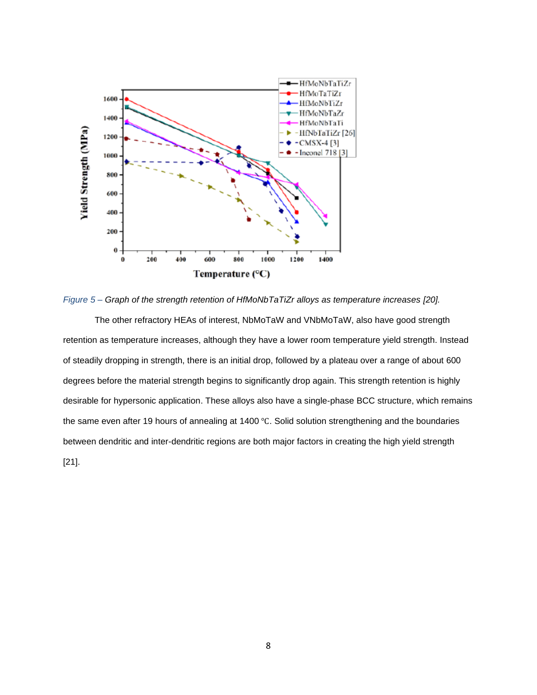

*Figure 5 – Graph of the strength retention of HfMoNbTaTiZr alloys as temperature increases [20].*

The other refractory HEAs of interest, NbMoTaW and VNbMoTaW, also have good strength retention as temperature increases, although they have a lower room temperature yield strength. Instead of steadily dropping in strength, there is an initial drop, followed by a plateau over a range of about 600 degrees before the material strength begins to significantly drop again. This strength retention is highly desirable for hypersonic application. These alloys also have a single-phase BCC structure, which remains the same even after 19 hours of annealing at 1400 ℃. Solid solution strengthening and the boundaries between dendritic and inter-dendritic regions are both major factors in creating the high yield strength [21].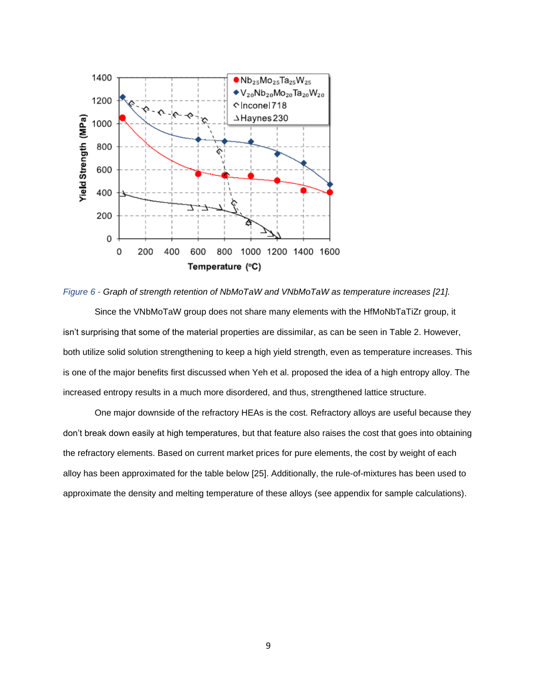

*Figure 6 - Graph of strength retention of NbMoTaW and VNbMoTaW as temperature increases [21].*

Since the VNbMoTaW group does not share many elements with the HfMoNbTaTiZr group, it isn't surprising that some of the material properties are dissimilar, as can be seen in Table 2. However, both utilize solid solution strengthening to keep a high yield strength, even as temperature increases. This is one of the major benefits first discussed when Yeh et al. proposed the idea of a high entropy alloy. The increased entropy results in a much more disordered, and thus, strengthened lattice structure.

One major downside of the refractory HEAs is the cost. Refractory alloys are useful because they don't break down easily at high temperatures, but that feature also raises the cost that goes into obtaining the refractory elements. Based on current market prices for pure elements, the cost by weight of each alloy has been approximated for the table below [25]. Additionally, the rule-of-mixtures has been used to approximate the density and melting temperature of these alloys (see appendix for sample calculations).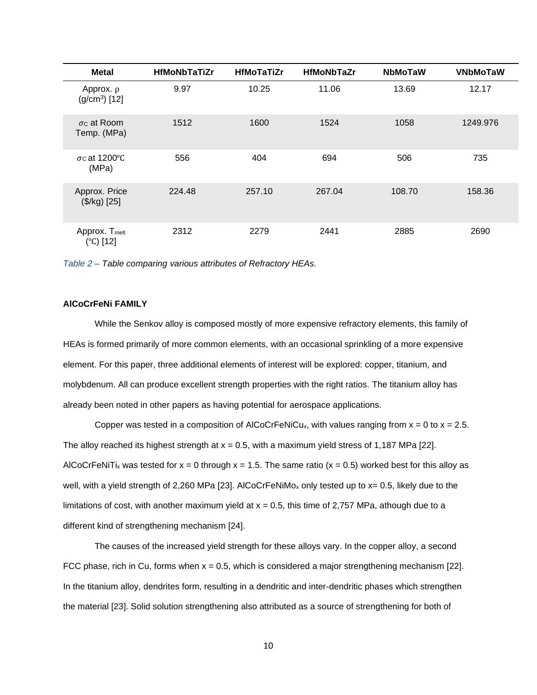| <b>Metal</b>                           | <b>HfMoNbTaTiZr</b> | <b>HfMoTaTiZr</b> | <b>HfMoNbTaZr</b> | <b>NbMoTaW</b> | <b>VNbMoTaW</b> |
|----------------------------------------|---------------------|-------------------|-------------------|----------------|-----------------|
| Approx. $\rho$<br>$(g/cm3)$ [12]       | 9.97                | 10.25             | 11.06             | 13.69          | 12.17           |
| $\sigma$ c at Room<br>Temp. (MPa)      | 1512                | 1600              | 1524              | 1058           | 1249.976        |
| $\sigma$ c at 1200 °C<br>(MPa)         | 556                 | 404               | 694               | 506            | 735             |
| Approx. Price<br>(\$/kg) [25]          | 224.48              | 257.10            | 267.04            | 108.70         | 158.36          |
| Approx. T <sub>melt</sub><br>(°C) [12] | 2312                | 2279              | 2441              | 2885           | 2690            |

*Table 2 – Table comparing various attributes of Refractory HEAs.*

#### **AlCoCrFeNi FAMILY**

While the Senkov alloy is composed mostly of more expensive refractory elements, this family of HEAs is formed primarily of more common elements, with an occasional sprinkling of a more expensive element. For this paper, three additional elements of interest will be explored: copper, titanium, and molybdenum. All can produce excellent strength properties with the right ratios. The titanium alloy has already been noted in other papers as having potential for aerospace applications.

Copper was tested in a composition of AlCoCrFeNiCu<sub>x</sub>, with values ranging from  $x = 0$  to  $x = 2.5$ . The alloy reached its highest strength at  $x = 0.5$ , with a maximum yield stress of 1,187 MPa [22]. AlCoCrFeNiTi<sub>x</sub> was tested for  $x = 0$  through  $x = 1.5$ . The same ratio ( $x = 0.5$ ) worked best for this alloy as well, with a yield strength of 2,260 MPa [23]. AlCoCrFeNiMo<sub>x</sub> only tested up to x= 0.5, likely due to the limitations of cost, with another maximum yield at  $x = 0.5$ , this time of 2,757 MPa, athough due to a different kind of strengthening mechanism [24].

The causes of the increased yield strength for these alloys vary. In the copper alloy, a second FCC phase, rich in Cu, forms when  $x = 0.5$ , which is considered a major strengthening mechanism [22]. In the titanium alloy, dendrites form, resulting in a dendritic and inter-dendritic phases which strengthen the material [23]. Solid solution strengthening also attributed as a source of strengthening for both of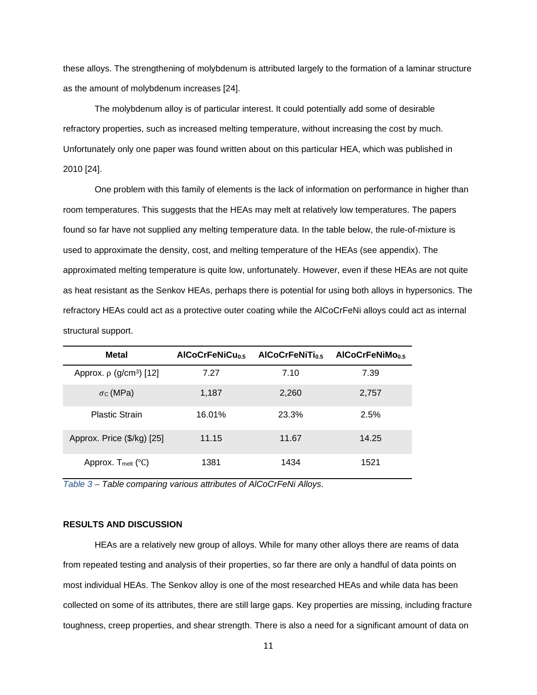these alloys. The strengthening of molybdenum is attributed largely to the formation of a laminar structure as the amount of molybdenum increases [24].

The molybdenum alloy is of particular interest. It could potentially add some of desirable refractory properties, such as increased melting temperature, without increasing the cost by much. Unfortunately only one paper was found written about on this particular HEA, which was published in 2010 [24].

One problem with this family of elements is the lack of information on performance in higher than room temperatures. This suggests that the HEAs may melt at relatively low temperatures. The papers found so far have not supplied any melting temperature data. In the table below, the rule-of-mixture is used to approximate the density, cost, and melting temperature of the HEAs (see appendix). The approximated melting temperature is quite low, unfortunately. However, even if these HEAs are not quite as heat resistant as the Senkov HEAs, perhaps there is potential for using both alloys in hypersonics. The refractory HEAs could act as a protective outer coating while the AlCoCrFeNi alloys could act as internal structural support.

| <b>Metal</b>                              | AICoCrFeNiCu <sub>0.5</sub> | AICoCrFeNiTi <sub>0.5</sub> | AICoCrFeNiMo <sub>0.5</sub> |
|-------------------------------------------|-----------------------------|-----------------------------|-----------------------------|
| Approx. $\rho$ (g/cm <sup>3</sup> ) [12]  | 7.27                        | 7.10                        | 7.39                        |
| $\sigma$ c (MPa)                          | 1,187                       | 2,260                       | 2,757                       |
| <b>Plastic Strain</b>                     | 16.01%                      | 23.3%                       | 2.5%                        |
| Approx. Price (\$/kg) [25]                | 11.15                       | 11.67                       | 14.25                       |
| Approx. $T_{\text{melt}}$ ( $^{\circ}C$ ) | 1381                        | 1434                        | 1521                        |

*Table 3 – Table comparing various attributes of AlCoCrFeNi Alloys.*

#### **RESULTS AND DISCUSSION**

HEAs are a relatively new group of alloys. While for many other alloys there are reams of data from repeated testing and analysis of their properties, so far there are only a handful of data points on most individual HEAs. The Senkov alloy is one of the most researched HEAs and while data has been collected on some of its attributes, there are still large gaps. Key properties are missing, including fracture toughness, creep properties, and shear strength. There is also a need for a significant amount of data on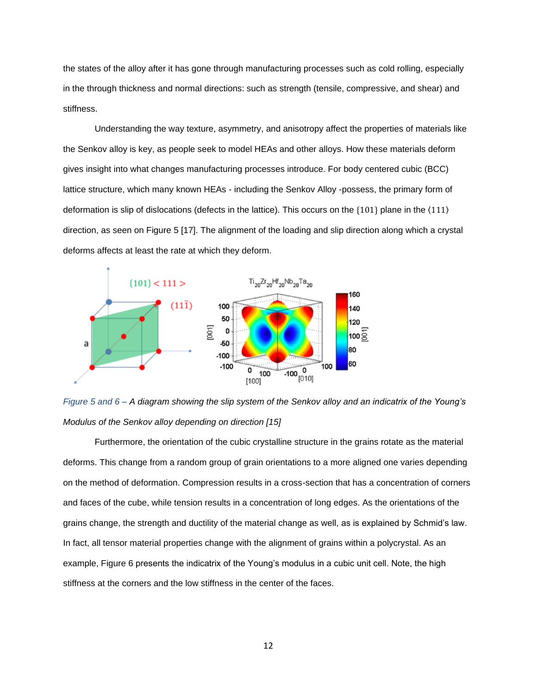the states of the alloy after it has gone through manufacturing processes such as cold rolling, especially in the through thickness and normal directions: such as strength (tensile, compressive, and shear) and stiffness.

Understanding the way texture, asymmetry, and anisotropy affect the properties of materials like the Senkov alloy is key, as people seek to model HEAs and other alloys. How these materials deform gives insight into what changes manufacturing processes introduce. For body centered cubic (BCC) lattice structure, which many known HEAs - including the Senkov Alloy -possess, the primary form of deformation is slip of dislocations (defects in the lattice). This occurs on the {101} plane in the 〈111〉 direction, as seen on Figure 5 [17]. The alignment of the loading and slip direction along which a crystal deforms affects at least the rate at which they deform.



*Figure 5 and 6 – A diagram showing the slip system of the Senkov alloy and an indicatrix of the Young's Modulus of the Senkov alloy depending on direction [15]*

Furthermore, the orientation of the cubic crystalline structure in the grains rotate as the material deforms. This change from a random group of grain orientations to a more aligned one varies depending on the method of deformation. Compression results in a cross-section that has a concentration of corners and faces of the cube, while tension results in a concentration of long edges. As the orientations of the grains change, the strength and ductility of the material change as well, as is explained by Schmid's law. In fact, all tensor material properties change with the alignment of grains within a polycrystal. As an example, Figure 6 presents the indicatrix of the Young's modulus in a cubic unit cell. Note, the high stiffness at the corners and the low stiffness in the center of the faces.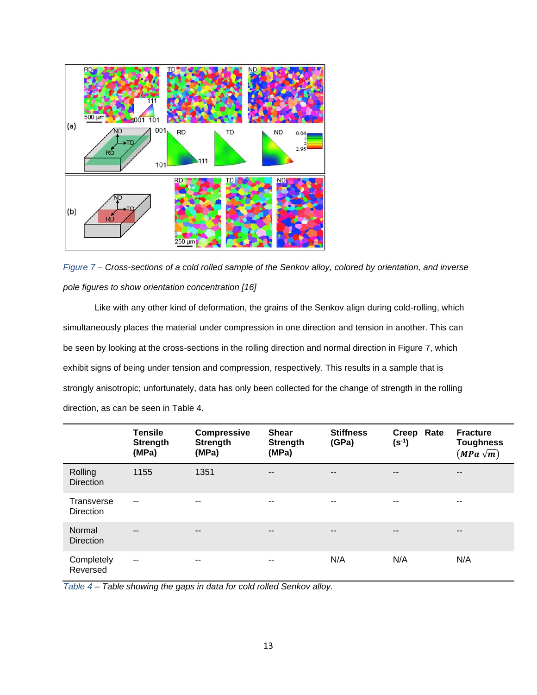



Like with any other kind of deformation, the grains of the Senkov align during cold-rolling, which simultaneously places the material under compression in one direction and tension in another. This can be seen by looking at the cross-sections in the rolling direction and normal direction in Figure 7, which exhibit signs of being under tension and compression, respectively. This results in a sample that is strongly anisotropic; unfortunately, data has only been collected for the change of strength in the rolling direction, as can be seen in Table 4.

|                                | <b>Tensile</b><br><b>Strength</b><br>(MPa) | <b>Compressive</b><br><b>Strength</b><br>(MPa) | <b>Shear</b><br><b>Strength</b><br>(MPa) | <b>Stiffness</b><br>(GPa) | Creep Rate<br>$(s^{-1})$ | <b>Fracture</b><br><b>Toughness</b><br>$(MPa\sqrt{m})$ |
|--------------------------------|--------------------------------------------|------------------------------------------------|------------------------------------------|---------------------------|--------------------------|--------------------------------------------------------|
| Rolling<br><b>Direction</b>    | 1155                                       | 1351                                           | $- -$                                    | $\qquad \qquad -$         | $\qquad \qquad -$        | $\qquad \qquad -$                                      |
| Transverse<br><b>Direction</b> | $\sim$ $\sim$                              | $-$                                            | $- -$                                    | --                        | --                       | $- -$                                                  |
| Normal<br><b>Direction</b>     | $\overline{\phantom{a}}$                   | $\qquad \qquad \blacksquare$                   | $\overline{\phantom{m}}$                 | $\qquad \qquad -$         | $\qquad \qquad -$        | $\qquad \qquad -$                                      |
| Completely<br>Reversed         | $\overline{\phantom{a}}$                   | $-$                                            | $\overline{\phantom{a}}$                 | N/A                       | N/A                      | N/A                                                    |

*Table 4 – Table showing the gaps in data for cold rolled Senkov alloy.*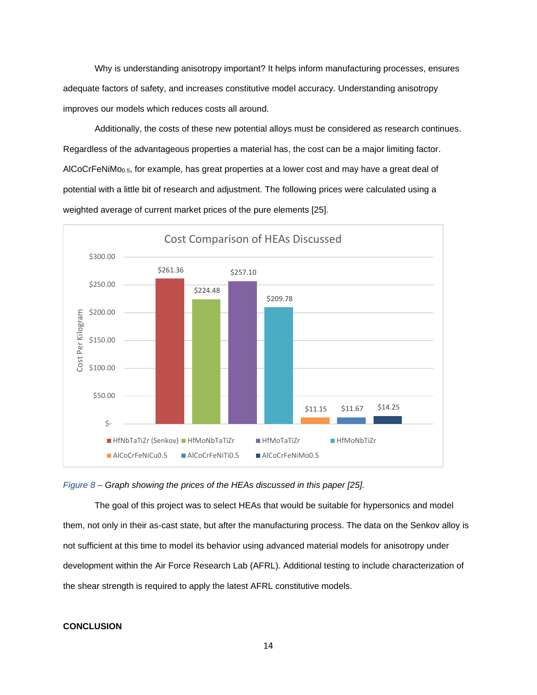Why is understanding anisotropy important? It helps inform manufacturing processes, ensures adequate factors of safety, and increases constitutive model accuracy. Understanding anisotropy improves our models which reduces costs all around.

Additionally, the costs of these new potential alloys must be considered as research continues. Regardless of the advantageous properties a material has, the cost can be a major limiting factor. AlCoCrFeNiMo<sub>0.5</sub>, for example, has great properties at a lower cost and may have a great deal of potential with a little bit of research and adjustment. The following prices were calculated using a weighted average of current market prices of the pure elements [25].



#### *Figure 8 – Graph showing the prices of the HEAs discussed in this paper [25].*

The goal of this project was to select HEAs that would be suitable for hypersonics and model them, not only in their as-cast state, but after the manufacturing process. The data on the Senkov alloy is not sufficient at this time to model its behavior using advanced material models for anisotropy under development within the Air Force Research Lab (AFRL). Additional testing to include characterization of the shear strength is required to apply the latest AFRL constitutive models.

#### **CONCLUSION**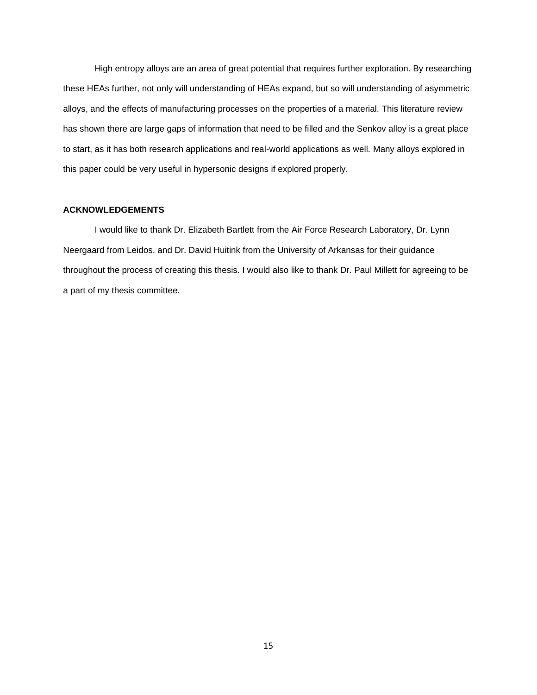High entropy alloys are an area of great potential that requires further exploration. By researching these HEAs further, not only will understanding of HEAs expand, but so will understanding of asymmetric alloys, and the effects of manufacturing processes on the properties of a material. This literature review has shown there are large gaps of information that need to be filled and the Senkov alloy is a great place to start, as it has both research applications and real-world applications as well. Many alloys explored in this paper could be very useful in hypersonic designs if explored properly.

#### **ACKNOWLEDGEMENTS**

I would like to thank Dr. Elizabeth Bartlett from the Air Force Research Laboratory, Dr. Lynn Neergaard from Leidos, and Dr. David Huitink from the University of Arkansas for their guidance throughout the process of creating this thesis. I would also like to thank Dr. Paul Millett for agreeing to be a part of my thesis committee.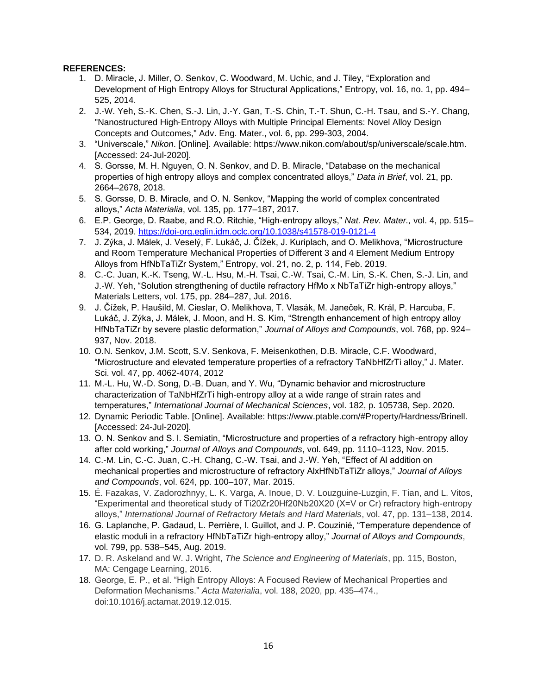## **REFERENCES:**

- 1. D. Miracle, J. Miller, O. Senkov, C. Woodward, M. Uchic, and J. Tiley, "Exploration and Development of High Entropy Alloys for Structural Applications," Entropy, vol. 16, no. 1, pp. 494– 525, 2014.
- 2. J.‐W. Yeh, S.‐K. Chen, S.‐J. Lin, J.‐Y. Gan, T.‐S. Chin, T.‐T. Shun, C.‐H. Tsau, and S.‐Y. Chang, "Nanostructured High‐Entropy Alloys with Multiple Principal Elements: Novel Alloy Design Concepts and Outcomes," Adv. Eng. Mater., vol. 6, pp. 299-303, 2004.
- 3. "Universcale," *Nikon*. [Online]. Available: https://www.nikon.com/about/sp/universcale/scale.htm. [Accessed: 24-Jul-2020].
- 4. S. Gorsse, M. H. Nguyen, O. N. Senkov, and D. B. Miracle, "Database on the mechanical properties of high entropy alloys and complex concentrated alloys," *Data in Brief*, vol. 21, pp. 2664–2678, 2018.
- 5. S. Gorsse, D. B. Miracle, and O. N. Senkov, "Mapping the world of complex concentrated alloys," *Acta Materialia*, vol. 135, pp. 177–187, 2017.
- 6. E.P. George, D. Raabe, and R.O. Ritchie, "High-entropy alloys," *Nat. Rev. Mater.,* vol. 4, pp. 515– 534, 2019.<https://doi-org.eglin.idm.oclc.org/10.1038/s41578-019-0121-4>
- 7. J. Zýka, J. Málek, J. Veselý, F. Lukáč, J. Čížek, J. Kuriplach, and O. Melikhova, "Microstructure and Room Temperature Mechanical Properties of Different 3 and 4 Element Medium Entropy Alloys from HfNbTaTiZr System," Entropy, vol. 21, no. 2, p. 114, Feb. 2019.
- 8. C.-C. Juan, K.-K. Tseng, W.-L. Hsu, M.-H. Tsai, C.-W. Tsai, C.-M. Lin, S.-K. Chen, S.-J. Lin, and J.-W. Yeh, "Solution strengthening of ductile refractory HfMo x NbTaTiZr high-entropy alloys," Materials Letters, vol. 175, pp. 284–287, Jul. 2016.
- 9. J. Čížek, P. Haušild, M. Cieslar, O. Melikhova, T. Vlasák, M. Janeček, R. Král, P. Harcuba, F. Lukáč, J. Zýka, J. Málek, J. Moon, and H. S. Kim, "Strength enhancement of high entropy alloy HfNbTaTiZr by severe plastic deformation," *Journal of Alloys and Compounds*, vol. 768, pp. 924– 937, Nov. 2018.
- 10. O.N. Senkov, J.M. Scott, S.V. Senkova, F. Meisenkothen, D.B. Miracle, C.F. Woodward, "Microstructure and elevated temperature properties of a refractory TaNbHfZrTi alloy," J. Mater. Sci. vol. 47, pp. 4062-4074, 2012
- 11. M.-L. Hu, W.-D. Song, D.-B. Duan, and Y. Wu, "Dynamic behavior and microstructure characterization of TaNbHfZrTi high-entropy alloy at a wide range of strain rates and temperatures," *International Journal of Mechanical Sciences*, vol. 182, p. 105738, Sep. 2020.
- 12. Dynamic Periodic Table. [Online]. Available: https://www.ptable.com/#Property/Hardness/Brinell. [Accessed: 24-Jul-2020].
- 13. O. N. Senkov and S. l. Semiatin, "Microstructure and properties of a refractory high-entropy alloy after cold working," *Journal of Alloys and Compounds*, vol. 649, pp. 1110–1123, Nov. 2015.
- 14. C.-M. Lin, C.-C. Juan, C.-H. Chang, C.-W. Tsai, and J.-W. Yeh, "Effect of Al addition on mechanical properties and microstructure of refractory AlxHfNbTaTiZr alloys," *Journal of Alloys and Compounds*, vol. 624, pp. 100–107, Mar. 2015.
- 15. É. Fazakas, V. Zadorozhnyy, L. K. Varga, A. Inoue, D. V. Louzguine-Luzgin, F. Tian, and L. Vitos, "Experimental and theoretical study of Ti20Zr20Hf20Nb20X20 (X=V or Cr) refractory high-entropy alloys," *International Journal of Refractory Metals and Hard Materials*, vol. 47, pp. 131–138, 2014.
- 16. G. Laplanche, P. Gadaud, L. Perrière, I. Guillot, and J. P. Couzinié, "Temperature dependence of elastic moduli in a refractory HfNbTaTiZr high-entropy alloy," *Journal of Alloys and Compounds*, vol. 799, pp. 538–545, Aug. 2019.
- 17. D. R. Askeland and W. J. Wright, *The Science and Engineering of Materials*, pp. 115, Boston, MA: Cengage Learning, 2016.
- 18. George, E. P., et al. "High Entropy Alloys: A Focused Review of Mechanical Properties and Deformation Mechanisms." *Acta Materialia*, vol. 188, 2020, pp. 435–474., doi:10.1016/j.actamat.2019.12.015.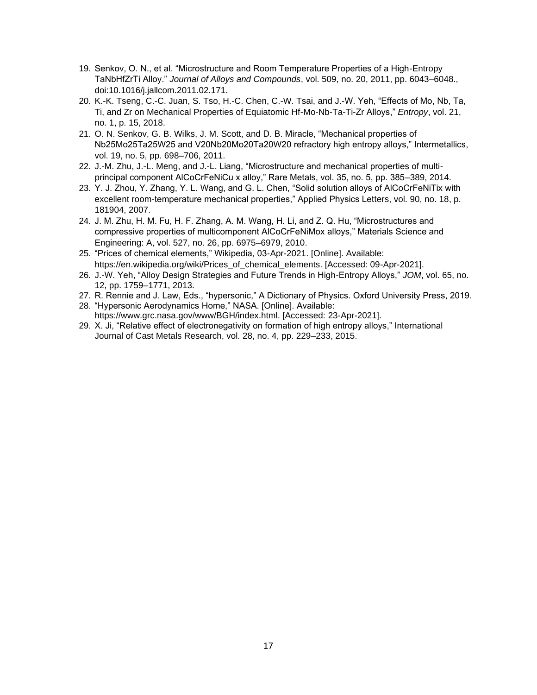- 19. Senkov, O. N., et al. "Microstructure and Room Temperature Properties of a High-Entropy TaNbHfZrTi Alloy." *Journal of Alloys and Compounds*, vol. 509, no. 20, 2011, pp. 6043–6048., doi:10.1016/j.jallcom.2011.02.171.
- 20. K.-K. Tseng, C.-C. Juan, S. Tso, H.-C. Chen, C.-W. Tsai, and J.-W. Yeh, "Effects of Mo, Nb, Ta, Ti, and Zr on Mechanical Properties of Equiatomic Hf-Mo-Nb-Ta-Ti-Zr Alloys," *Entropy*, vol. 21, no. 1, p. 15, 2018.
- 21. O. N. Senkov, G. B. Wilks, J. M. Scott, and D. B. Miracle, "Mechanical properties of Nb25Mo25Ta25W25 and V20Nb20Mo20Ta20W20 refractory high entropy alloys," Intermetallics, vol. 19, no. 5, pp. 698–706, 2011.
- 22. J.-M. Zhu, J.-L. Meng, and J.-L. Liang, "Microstructure and mechanical properties of multiprincipal component AlCoCrFeNiCu x alloy," Rare Metals, vol. 35, no. 5, pp. 385–389, 2014.
- 23. Y. J. Zhou, Y. Zhang, Y. L. Wang, and G. L. Chen, "Solid solution alloys of AlCoCrFeNiTix with excellent room-temperature mechanical properties," Applied Physics Letters, vol. 90, no. 18, p. 181904, 2007.
- 24. J. M. Zhu, H. M. Fu, H. F. Zhang, A. M. Wang, H. Li, and Z. Q. Hu, "Microstructures and compressive properties of multicomponent AlCoCrFeNiMox alloys," Materials Science and Engineering: A, vol. 527, no. 26, pp. 6975–6979, 2010.
- 25. "Prices of chemical elements," Wikipedia, 03-Apr-2021. [Online]. Available: https://en.wikipedia.org/wiki/Prices\_of\_chemical\_elements. [Accessed: 09-Apr-2021].
- 26. J.-W. Yeh, "Alloy Design Strategies and Future Trends in High-Entropy Alloys," *JOM*, vol. 65, no. 12, pp. 1759–1771, 2013.
- 27. R. Rennie and J. Law, Eds., "hypersonic," A Dictionary of Physics. Oxford University Press, 2019.
- 28. "Hypersonic Aerodynamics Home," NASA. [Online]. Available: https://www.grc.nasa.gov/www/BGH/index.html. [Accessed: 23-Apr-2021].
- 29. X. Ji, "Relative effect of electronegativity on formation of high entropy alloys," International Journal of Cast Metals Research, vol. 28, no. 4, pp. 229–233, 2015.